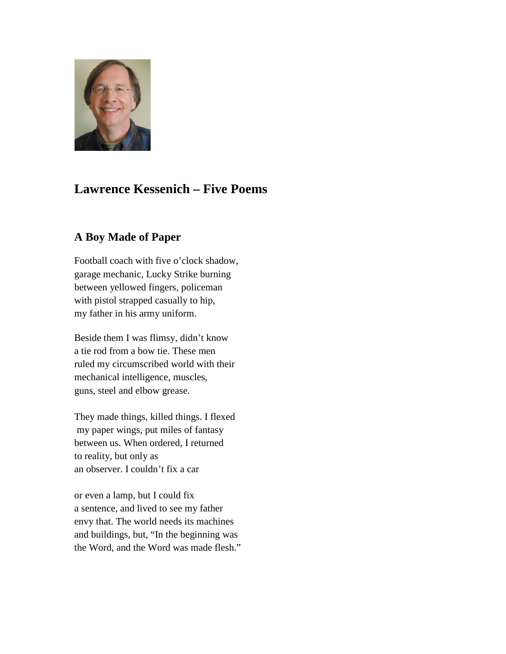

# **Lawrence Kessenich – Five Poems**

## **A Boy Made of Paper**

Football coach with five o'clock shadow, garage mechanic, Lucky Strike burning between yellowed fingers, policeman with pistol strapped casually to hip, my father in his army uniform.

Beside them I was flimsy, didn't know a tie rod from a bow tie. These men ruled my circumscribed world with their mechanical intelligence, muscles, guns, steel and elbow grease.

They made things, killed things. I flexed my paper wings, put miles of fantasy between us. When ordered, I returned to reality, but only as an observer. I couldn't fix a car

or even a lamp, but I could fix a sentence, and lived to see my father envy that. The world needs its machines and buildings, but, "In the beginning was the Word, and the Word was made flesh."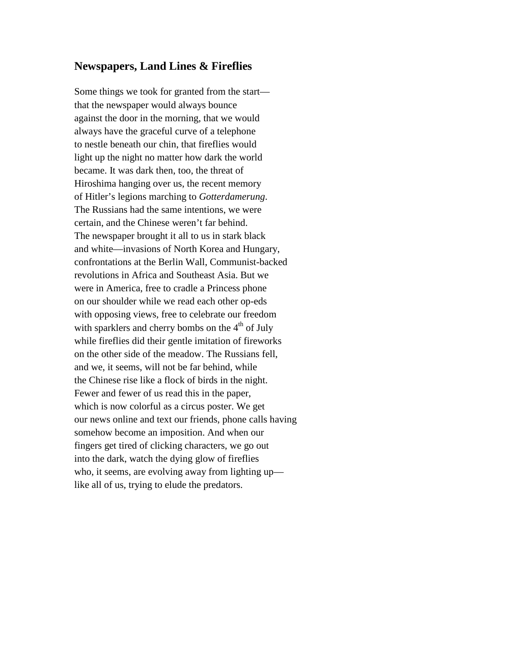#### **Newspapers, Land Lines & Fireflies**

Some things we took for granted from the start that the newspaper would always bounce against the door in the morning, that we would always have the graceful curve of a telephone to nestle beneath our chin, that fireflies would light up the night no matter how dark the world became. It was dark then, too, the threat of Hiroshima hanging over us, the recent memory of Hitler's legions marching to *Gotterdamerung*. The Russians had the same intentions, we were certain, and the Chinese weren't far behind. The newspaper brought it all to us in stark black and white—invasions of North Korea and Hungary, confrontations at the Berlin Wall, Communist-backed revolutions in Africa and Southeast Asia. But we were in America, free to cradle a Princess phone on our shoulder while we read each other op-eds with opposing views, free to celebrate our freedom with sparklers and cherry bombs on the  $4<sup>th</sup>$  of July while fireflies did their gentle imitation of fireworks on the other side of the meadow. The Russians fell, and we, it seems, will not be far behind, while the Chinese rise like a flock of birds in the night. Fewer and fewer of us read this in the paper, which is now colorful as a circus poster. We get our news online and text our friends, phone calls having somehow become an imposition. And when our fingers get tired of clicking characters, we go out into the dark, watch the dying glow of fireflies who, it seems, are evolving away from lighting up like all of us, trying to elude the predators.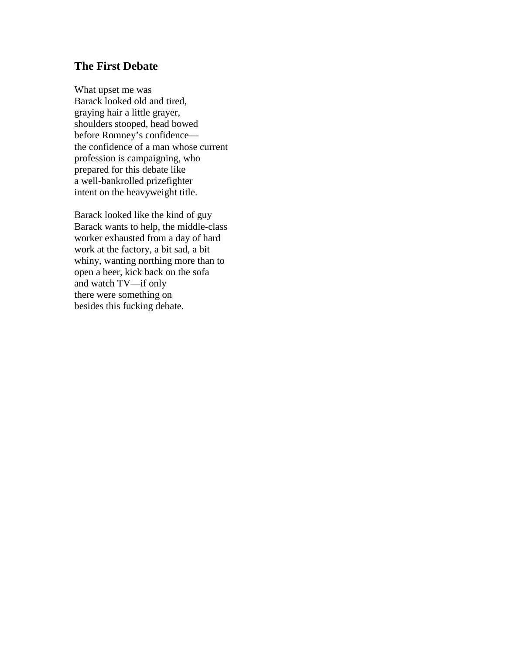#### **The First Debate**

What upset me was Barack looked old and tired, graying hair a little grayer, shoulders stooped, head bowed before Romney's confidence the confidence of a man whose current profession is campaigning, who prepared for this debate like a well-bankrolled prizefighter intent on the heavyweight title.

Barack looked like the kind of guy Barack wants to help, the middle-class worker exhausted from a day of hard work at the factory, a bit sad, a bit whiny, wanting northing more than to open a beer, kick back on the sofa and watch TV—if only there were something on besides this fucking debate.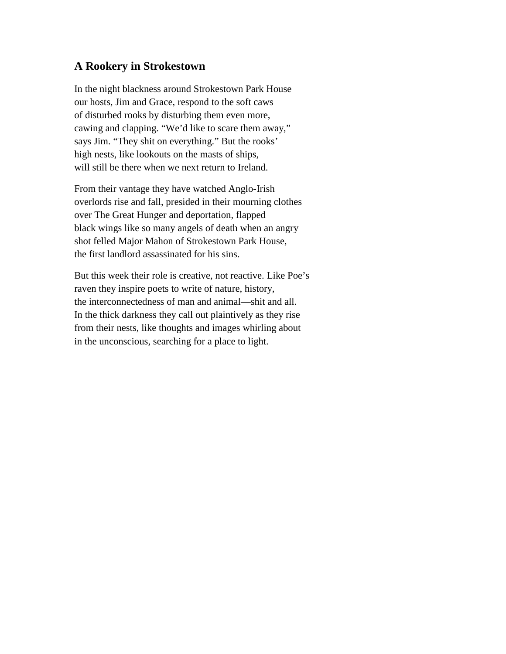#### **A Rookery in Strokestown**

In the night blackness around Strokestown Park House our hosts, Jim and Grace, respond to the soft caws of disturbed rooks by disturbing them even more, cawing and clapping. "We'd like to scare them away," says Jim. "They shit on everything." But the rooks' high nests, like lookouts on the masts of ships, will still be there when we next return to Ireland.

From their vantage they have watched Anglo-Irish overlords rise and fall, presided in their mourning clothes over The Great Hunger and deportation, flapped black wings like so many angels of death when an angry shot felled Major Mahon of Strokestown Park House, the first landlord assassinated for his sins.

But this week their role is creative, not reactive. Like Poe's raven they inspire poets to write of nature, history, the interconnectedness of man and animal—shit and all. In the thick darkness they call out plaintively as they rise from their nests, like thoughts and images whirling about in the unconscious, searching for a place to light.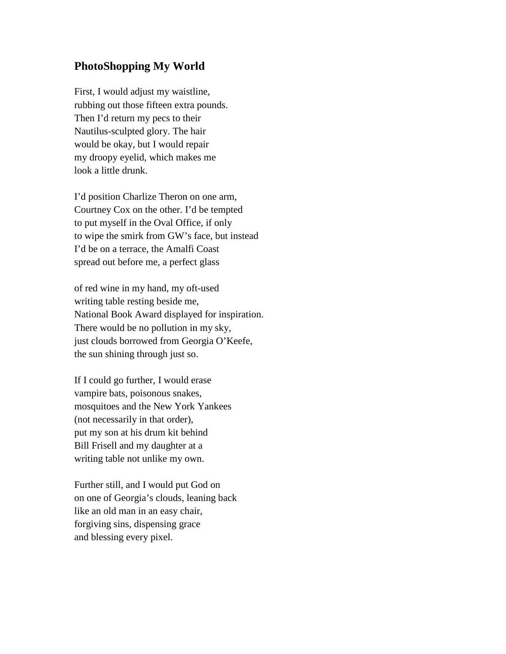### **PhotoShopping My World**

First, I would adjust my waistline, rubbing out those fifteen extra pounds. Then I'd return my pecs to their Nautilus-sculpted glory. The hair would be okay, but I would repair my droopy eyelid, which makes me look a little drunk.

I'd position Charlize Theron on one arm, Courtney Cox on the other. I'd be tempted to put myself in the Oval Office, if only to wipe the smirk from GW's face, but instead I'd be on a terrace, the Amalfi Coast spread out before me, a perfect glass

of red wine in my hand, my oft-used writing table resting beside me, National Book Award displayed for inspiration. There would be no pollution in my sky, just clouds borrowed from Georgia O'Keefe, the sun shining through just so.

If I could go further, I would erase vampire bats, poisonous snakes, mosquitoes and the New York Yankees (not necessarily in that order), put my son at his drum kit behind Bill Frisell and my daughter at a writing table not unlike my own.

Further still, and I would put God on on one of Georgia's clouds, leaning back like an old man in an easy chair, forgiving sins, dispensing grace and blessing every pixel.